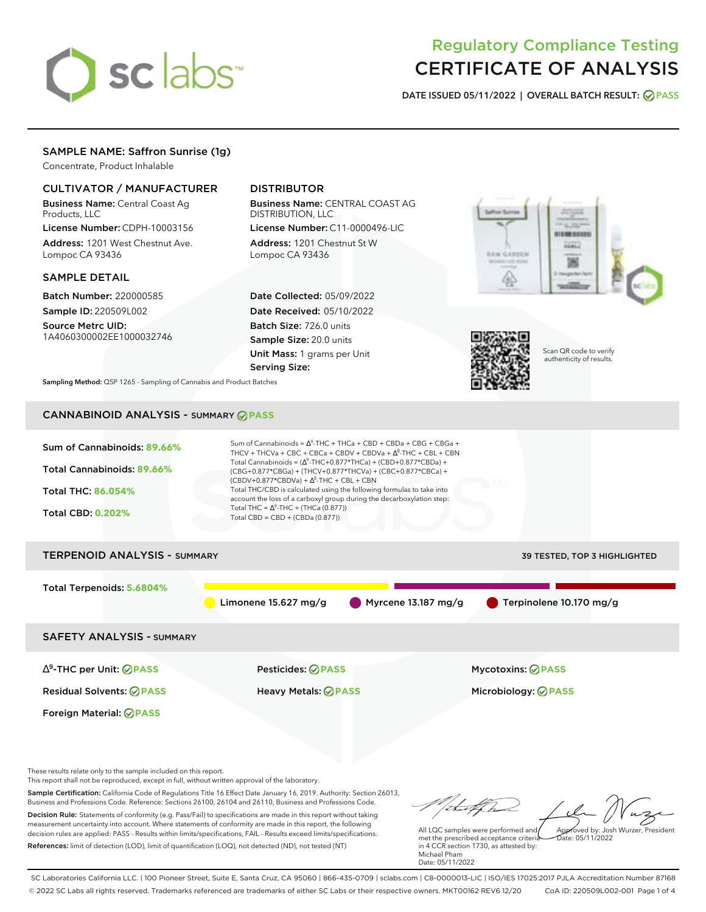

# Regulatory Compliance Testing CERTIFICATE OF ANALYSIS

**DATE ISSUED 05/11/2022 | OVERALL BATCH RESULT: PASS**

## SAMPLE NAME: Saffron Sunrise (1g)

Concentrate, Product Inhalable

### CULTIVATOR / MANUFACTURER

Business Name: Central Coast Ag Products, LLC

License Number: CDPH-10003156 Address: 1201 West Chestnut Ave. Lompoc CA 93436

### SAMPLE DETAIL

Batch Number: 220000585 Sample ID: 220509L002

Source Metrc UID: 1A4060300002EE1000032746

# DISTRIBUTOR

Business Name: CENTRAL COAST AG DISTRIBUTION, LLC

License Number: C11-0000496-LIC Address: 1201 Chestnut St W Lompoc CA 93436

Date Collected: 05/09/2022 Date Received: 05/10/2022 Batch Size: 726.0 units Sample Size: 20.0 units Unit Mass: 1 grams per Unit Serving Size:





Scan QR code to verify authenticity of results.

**Sampling Method:** QSP 1265 - Sampling of Cannabis and Product Batches

# CANNABINOID ANALYSIS - SUMMARY **PASS**



Sample Certification: California Code of Regulations Title 16 Effect Date January 16, 2019. Authority: Section 26013,

Business and Professions Code. Reference: Sections 26100, 26104 and 26110, Business and Professions Code. Decision Rule: Statements of conformity (e.g. Pass/Fail) to specifications are made in this report without taking measurement uncertainty into account. Where statements of conformity are made in this report, the following decision rules are applied: PASS - Results within limits/specifications, FAIL - Results exceed limits/specifications. References: limit of detection (LOD), limit of quantification (LOQ), not detected (ND), not tested (NT)

Approved by: Josh Wurzer, President

 $hat: 05/11/2022$ 

All LQC samples were performed and met the prescribed acceptance criteria in 4 CCR section 1730, as attested by: Michael Pham Date: 05/11/2022

SC Laboratories California LLC. | 100 Pioneer Street, Suite E, Santa Cruz, CA 95060 | 866-435-0709 | sclabs.com | C8-0000013-LIC | ISO/IES 17025:2017 PJLA Accreditation Number 87168 © 2022 SC Labs all rights reserved. Trademarks referenced are trademarks of either SC Labs or their respective owners. MKT00162 REV6 12/20 CoA ID: 220509L002-001 Page 1 of 4